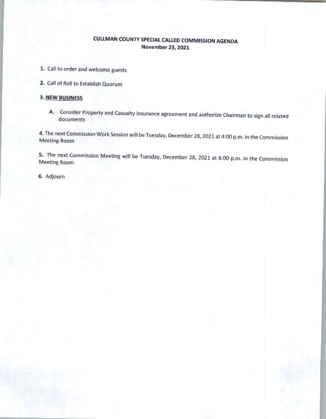# CUUMAN COUNTY SPECIAL CALLED COMMISSION AGENDA November 23, 2021

- 1. Call to order and welcome guests
- 2. Call of Roll to Establish Quorum

### 3. NEW BUSINESS

A. Consider Property and Casualty Insurance agreement and authorize Chairman to sign all related documents

4. The next Commission Work Session will be Tuesday, December 28, 2021 at 4:00 p.m. in the Commission Meeting Room

5. The next Commission Meeting will be Tuesday, December 28, 2021 at 6:00 p.m. in the Commission Meeting Roon,

6. Adjourn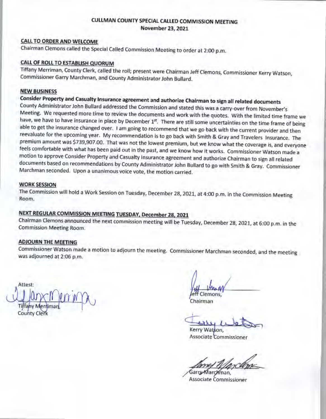### CULLMAN COUNTY SPECIAL CALLED COMMISSION MEETING November 23, 2021

### CALL TO ORDER AND WELCOME

Chairman Clemons called the Special Called Commission Meeting to order at 2:00 p.m.

### CALL OF ROLL TO ESTABLISH QUORUM

Tiffany Merriman, County Clerk, called the roll; present were Chairman Jeff Clemons, Commissioner Kerry Watson, Commissioner Garry Marchman, and County Administtator John Bullard.

#### **NEW BUSINESS**

Consider Property and Casualty Insurance agreement and authorize Chairman to sign all related documents County Administfalor John Bulfard addressed the Commission and stated this was a carry-over from November's Meeting. We requested more time to review the documents and work with the quotes. With the limited time frame we have, we have to have insurance in place by December 1st. There are still some uncertainties on the time frame of being able to get the insurance changed over. I am going to recommend that we go back with the current provider and then reevaluate for the upcoming year. My recommendation is to go back with Smith & Gray and Travelers Insurance. The premium amount was \$739,907.00. Thal was not the lowest premium, but we know what the coverage is, and everyone teels comfortable with what has been paid out in the past, and we know how it works. Commissioner Watson made a motion to approve Consider Property and Casualty Insurance agreement and authorize Chairman to sign all related documents based on recommendations by County Administrator John Bullard to go with Smith & Gray. Commissioner Marchman seconded. Upon a unanimous voice vote, the motion carried.

#### WORK SESSION

The Commission will hold a Work Session on Tuesday, December 28, 2021, at 4:00 p.m. in the Commission Meeting Room .

## NEXT REGULAR COMMISSION MEETING TUESDAY, December 28, 2021

Chairman Clemons announced the next commission meeting will be Tuesday, December 28, 2021, at 6:00 p.m. in the Commission Meeting Room.

#### ADJOURN THE MEETING

Commissioner Watson made a motion to adjourn the meeting. Commissioner Marchman seconded, and the meeting was adjourned at 2:06 p.m.

Attact County Clerk

Clemons

Chairman

Kerry Watson, Associate Commissioner

Garry Marchman, Associate Commissioner